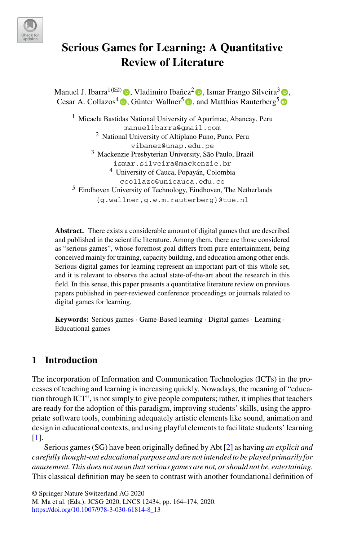

# **Serious Games for Learning: A Quantitative Review of Literature**

Manuel J. Ibarra<sup>1( $\boxtimes$ )</sup>  $\bullet$ . Vladimiro Ibañez<sup>2</sup> $\bullet$ . Ismar Frango Silveira<sup>3</sup> $\bullet$ . Cesar A. Collazos<sup>4</sup>  $\bullet$ [,](http://orcid.org/0000-0002-0815-5985) Günter Wallner<sup>[5](http://orcid.org/0000-0002-2596-395X)</sup>  $\bullet$ , and Matthias Rauterberg<sup>5</sup>  $\bullet$ 

<sup>1</sup> Micaela Bastidas National University of Apurímac, Abancay, Peru manuelibarra@gmail.com <sup>2</sup> National University of Altiplano Puno, Puno, Peru vibanez@unap.edu.pe <sup>3</sup> Mackenzie Presbyterian University, São Paulo, Brazil ismar.silveira@mackenzie.br <sup>4</sup> University of Cauca, Popayán, Colombia ccollazo@unicauca.edu.co <sup>5</sup> Eindhoven University of Technology, Eindhoven, The Netherlands {g.wallner,g.w.m.rauterberg}@tue.nl

**Abstract.** There exists a considerable amount of digital games that are described and published in the scientific literature. Among them, there are those considered as "serious games", whose foremost goal differs from pure entertainment, being conceived mainly for training, capacity building, and education among other ends. Serious digital games for learning represent an important part of this whole set, and it is relevant to observe the actual state-of-the-art about the research in this field. In this sense, this paper presents a quantitative literature review on previous papers published in peer-reviewed conference proceedings or journals related to digital games for learning.

**Keywords:** Serious games · Game-Based learning · Digital games · Learning · Educational games

# **1 Introduction**

The incorporation of Information and Communication Technologies (ICTs) in the processes of teaching and learning is increasing quickly. Nowadays, the meaning of "education through ICT", is not simply to give people computers; rather, it implies that teachers are ready for the adoption of this paradigm, improving students' skills, using the appropriate software tools, combining adequately artistic elements like sound, animation and design in educational contexts, and using playful elements to facilitate students' learning [\[1\]](#page-9-0).

Serious games (SG) have been originally defined by Abt [\[2\]](#page-9-1) as having *an explicit and carefully thought*-*out educational purpose and are not intended to be played primarily for amusement. This does not mean that serious games are not, or should not be, entertaining*. This classical definition may be seen to contrast with another foundational definition of

© Springer Nature Switzerland AG 2020

M. Ma et al. (Eds.): JCSG 2020, LNCS 12434, pp. 164–174, 2020. [https://doi.org/10.1007/978-3-030-61814-8\\_13](https://doi.org/10.1007/978-3-030-61814-8_13)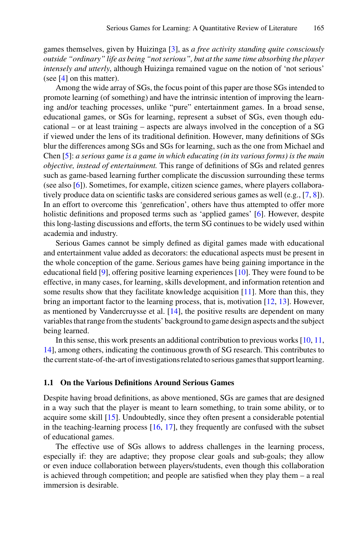games themselves, given by Huizinga [\[3\]](#page-9-2), as *a free activity standing quite consciously outside "ordinary" life as being "not serious", but at the same time absorbing the player intensely and utterly*, although Huizinga remained vague on the notion of 'not serious' (see [\[4\]](#page-9-3) on this matter).

Among the wide array of SGs, the focus point of this paper are those SGs intended to promote learning (of something) and have the intrinsic intention of improving the learning and/or teaching processes, unlike "pure" entertainment games. In a broad sense, educational games, or SGs for learning, represent a subset of SGs, even though educational – or at least training – aspects are always involved in the conception of a SG if viewed under the lens of its traditional definition. However, many definitions of SGs blur the differences among SGs and SGs for learning, such as the one from Michael and Chen [\[5\]](#page-9-4): *a serious game is a game in which educating (in its various forms) is the main objective, instead of entertainment.* This range of definitions of SGs and related genres such as game-based learning further complicate the discussion surrounding these terms (see also [\[6\]](#page-9-5)). Sometimes, for example, citizen science games, where players collaboratively produce data on scientific tasks are considered serious games as well (e.g., [\[7,](#page-9-6) [8\]](#page-9-7)). In an effort to overcome this *'*genrefication', others have thus attempted to offer more holistic definitions and proposed terms such as 'applied games' [\[6\]](#page-9-5). However, despite this long-lasting discussions and efforts, the term SG continues to be widely used within academia and industry.

Serious Games cannot be simply defined as digital games made with educational and entertainment value added as decorators: the educational aspects must be present in the whole conception of the game. Serious games have being gaining importance in the educational field [\[9\]](#page-9-8), offering positive learning experiences [\[10\]](#page-9-9). They were found to be effective, in many cases, for learning, skills development, and information retention and some results show that they facilitate knowledge acquisition  $[11]$ . More than this, they bring an important factor to the learning process, that is, motivation [\[12,](#page-9-11) [13\]](#page-9-12). However, as mentioned by Vandercruysse et al. [\[14\]](#page-9-13), the positive results are dependent on many variables that range from the students' background to game design aspects and the subject being learned.

In this sense, this work presents an additional contribution to previous works  $[10, 11]$  $[10, 11]$ , [14\]](#page-9-13), among others, indicating the continuous growth of SG research. This contributes to the current state-of-the-art of investigations related to serious games that support learning.

#### **1.1 On the Various Definitions Around Serious Games**

Despite having broad definitions, as above mentioned, SGs are games that are designed in a way such that the player is meant to learn something, to train some ability, or to acquire some skill [\[15\]](#page-9-14). Undoubtedly, since they often present a considerable potential in the teaching-learning process  $[16, 17]$  $[16, 17]$  $[16, 17]$ , they frequently are confused with the subset of educational games.

The effective use of SGs allows to address challenges in the learning process, especially if: they are adaptive; they propose clear goals and sub-goals; they allow or even induce collaboration between players/students, even though this collaboration is achieved through competition; and people are satisfied when they play them – a real immersion is desirable.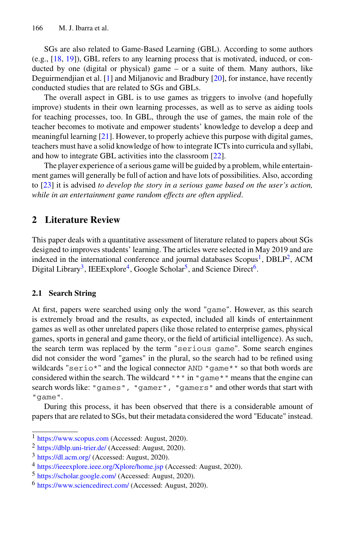SGs are also related to Game-Based Learning (GBL). According to some authors (e.g.,  $[18, 19]$  $[18, 19]$  $[18, 19]$ ), GBL refers to any learning process that is motivated, induced, or conducted by one (digital or physical) game – or a suite of them. Many authors, like Deguirmendjian et al. [\[1\]](#page-9-0) and Miljanovic and Bradbury [\[20\]](#page-10-4), for instance, have recently conducted studies that are related to SGs and GBLs.

The overall aspect in GBL is to use games as triggers to involve (and hopefully improve) students in their own learning processes, as well as to serve as aiding tools for teaching processes, too. In GBL, through the use of games, the main role of the teacher becomes to motivate and empower students' knowledge to develop a deep and meaningful learning [\[21\]](#page-10-5). However, to properly achieve this purpose with digital games, teachers must have a solid knowledge of how to integrate ICTs into curricula and syllabi, and how to integrate GBL activities into the classroom [\[22\]](#page-10-6).

The player experience of a serious game will be guided by a problem, while entertainment games will generally be full of action and have lots of possibilities. Also, according to [\[23\]](#page-10-7) it is advised *to develop the story in a serious game based on the user's action, while in an entertainment game random effects are often applied*.

## **2 Literature Review**

This paper deals with a quantitative assessment of literature related to papers about SGs designed to improves students' learning. The articles were selected in May 2019 and are indexed in the international conference and journal databases  $Scopus<sup>1</sup>, DBLP<sup>2</sup>, ACM$ Digital Library<sup>3</sup>, IEEExplore<sup>4</sup>, Google Scholar<sup>5</sup>, and Science Direct<sup>6</sup>.

## <span id="page-2-6"></span>**2.1 Search String**

At first, papers were searched using only the word "game". However, as this search is extremely broad and the results, as expected, included all kinds of entertainment games as well as other unrelated papers (like those related to enterprise games, physical games, sports in general and game theory, or the field of artificial intelligence). As such, the search term was replaced by the term "serious game". Some search engines did not consider the word "games" in the plural, so the search had to be refined using wildcards "serio\*" and the logical connector AND "game\*" so that both words are considered within the search. The wildcard  $" * "$  in "game\*" means that the engine can search words like: "games", "gamer", "gamers" and other words that start with "game".

During this process, it has been observed that there is a considerable amount of papers that are related to SGs, but their metadata considered the word "Educate" instead.

<span id="page-2-1"></span><span id="page-2-0"></span><sup>1</sup> <https://www.scopus.com> (Accessed: August, 2020).

<span id="page-2-2"></span> $2 \text{ https://dblp.uni-trier.de/}$  $2 \text{ https://dblp.uni-trier.de/}$  $2 \text{ https://dblp.uni-trier.de/}$  (Accessed: August, 2020).

<span id="page-2-3"></span><sup>3</sup> <https://dl.acm.org/> (Accessed: August, 2020).

<span id="page-2-4"></span><sup>4</sup> <https://ieeexplore.ieee.org/Xplore/home.jsp> (Accessed: August, 2020).

<span id="page-2-5"></span><sup>5</sup> <https://scholar.google.com/> (Accessed: August, 2020).

<sup>6</sup> <https://www.sciencedirect.com/> (Accessed: August, 2020).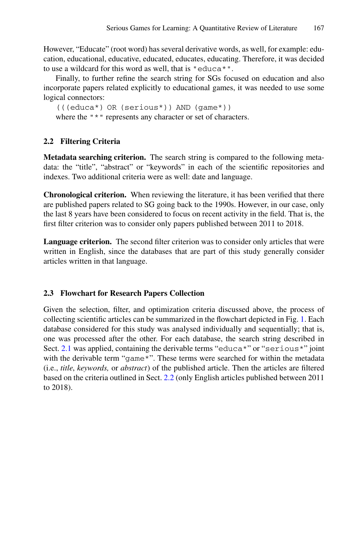However, "Educate" (root word) has several derivative words, as well, for example: education, educational, educative, educated, educates, educating. Therefore, it was decided to use a wildcard for this word as well, that is "educa\*".

Finally, to further refine the search string for SGs focused on education and also incorporate papers related explicitly to educational games, it was needed to use some logical connectors:

(((educa\*) OR (serious\*)) AND (game\*)) where the " \* " represents any character or set of characters.

## <span id="page-3-0"></span>**2.2 Filtering Criteria**

**Metadata searching criterion.** The search string is compared to the following metadata: the "title", "abstract" or "keywords" in each of the scientific repositories and indexes. Two additional criteria were as well: date and language.

**Chronological criterion.** When reviewing the literature, it has been verified that there are published papers related to SG going back to the 1990s. However, in our case, only the last 8 years have been considered to focus on recent activity in the field. That is, the first filter criterion was to consider only papers published between 2011 to 2018.

**Language criterion.** The second filter criterion was to consider only articles that were written in English, since the databases that are part of this study generally consider articles written in that language.

#### **2.3 Flowchart for Research Papers Collection**

Given the selection, filter, and optimization criteria discussed above, the process of collecting scientific articles can be summarized in the flowchart depicted in Fig. [1.](#page-4-0) Each database considered for this study was analysed individually and sequentially; that is, one was processed after the other. For each database, the search string described in Sect. [2.1](#page-2-6) was applied, containing the derivable terms "educa\*" or "serious\*" joint with the derivable term "game\*". These terms were searched for within the metadata (i.e., *title*, *keywords,* or *abstract*) of the published article. Then the articles are filtered based on the criteria outlined in Sect. [2.2](#page-3-0) (only English articles published between 2011 to 2018).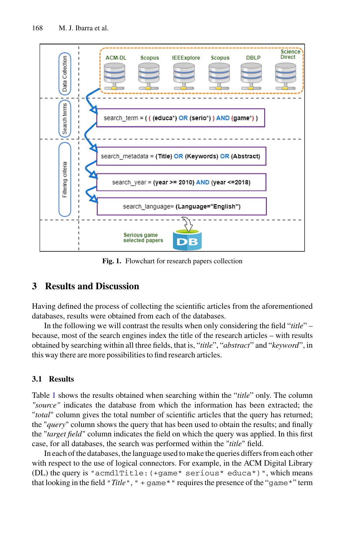

**Fig. 1.** Flowchart for research papers collection

## <span id="page-4-0"></span>**3 Results and Discussion**

Having defined the process of collecting the scientific articles from the aforementioned databases, results were obtained from each of the databases.

In the following we will contrast the results when only considering the field "*title*" – because, most of the search engines index the title of the research articles – with results obtained by searching within all three fields, that is, "*title*", "*abstract*" and "*keyword*", in this way there are more possibilities to find research articles.

#### **3.1 Results**

Table [1](#page-5-0) shows the results obtained when searching within the "*title*" only. The column *"source"* indicates the database from which the information has been extracted; the "*total*" column gives the total number of scientific articles that the query has returned; the "*query*" column shows the query that has been used to obtain the results; and finally the "*target field*" column indicates the field on which the query was applied. In this first case, for all databases, the search was performed within the "*title*" field.

In each of the databases, the language used to make the queries differs from each other with respect to the use of logical connectors. For example, in the ACM Digital Library (DL) the query is "acmdlTitle:  $(+\text{game} * \text{ serious} * \text{educa} *)$ ", which means that looking in the field "*Title*", " + game\*" requires the presence of the "game\*" term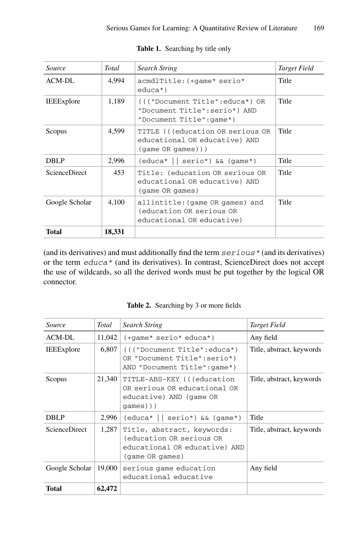<span id="page-5-0"></span>

| <i>Source</i>        | Total  | <b>Search String</b>                                                                         | Target Field |
|----------------------|--------|----------------------------------------------------------------------------------------------|--------------|
| $ACM-DL$             | 4.994  | acmdlTitle: (+qame* serio*<br>$educa*$ )                                                     | Title        |
| <b>IEEExplore</b>    | 1,189  | ((("Document Title":educa*) OR<br>"Document Title": serio*) AND<br>"Document Title": game*)  | Title        |
| Scopus               | 4.599  | TITLE (((education OR serious OR<br>educational OR educative) AND<br>$(game \ OR \ games)$ ) | Title        |
| <b>DBLP</b>          | 2,996  | $(educa*    serio*) \& (game*)$                                                              | Title        |
| <b>ScienceDirect</b> | 453    | Title: (education OR serious OR<br>educational OR educative) AND<br>(game OR games)          | Title        |
| Google Scholar       | 4.100  | allintitle: (game OR games) and<br>(education OR serious OR<br>educational OR educative)     | Title        |
| Total                | 18,331 |                                                                                              |              |

**Table 1.** Searching by title only

(and its derivatives) and must additionally find the term  $s$ exious  $*$  (and its derivatives) or the term educa\* (and its derivatives). In contrast, ScienceDirect does not accept the use of wildcards, so all the derived words must be put together by the logical OR connector.

**Table 2.** Searching by 3 or more fields

<span id="page-5-1"></span>

| Source               | Total  | <b>Search String</b>                                                                                       | Target Field              |
|----------------------|--------|------------------------------------------------------------------------------------------------------------|---------------------------|
| ACM-DL               | 11,042 | $(\text{+game*}$ serio* educa*)                                                                            | Any field                 |
| <b>IEEExplore</b>    | 6,807  | ((("Document Title":educa*)<br>OR "Document Title": serio*)<br>AND "Document Title": qame*)                | Title, abstract, keywords |
| Scopus               | 21,340 | TITLE-ABS-KEY (((education<br>OR serious OR educational OR<br>educative) AND (game OR<br>$qames)$ )        | Title, abstract, keywords |
| <b>DBLP</b>          | 2,996  | $(educa*    serio*) \& (game*)$                                                                            | Title                     |
| <b>ScienceDirect</b> | 1,287  | Title, abstract, keywords:<br>(education OR serious OR<br>educational OR educative) AND<br>(game OR games) | Title, abstract, keywords |
| Google Scholar       | 19,000 | serious game education<br>educational educative                                                            | Any field                 |
| <b>Total</b>         | 62,472 |                                                                                                            |                           |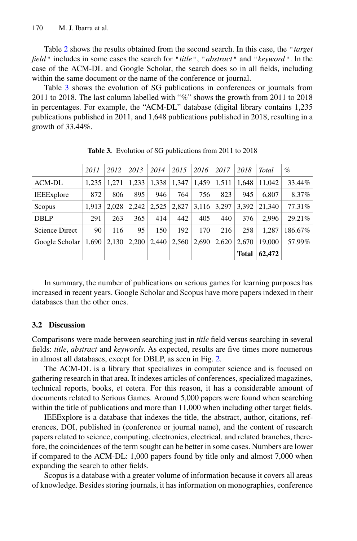Table [2](#page-5-1) shows the results obtained from the second search. In this case, the "*target field*" includes in some cases the search for "*title*", "*abstract*" and "*keyword*". In the case of the ACM-DL and Google Scholar, the search does so in all fields, including within the same document or the name of the conference or journal.

Table [3](#page-6-0) shows the evolution of SG publications in conferences or journals from 2011 to 2018. The last column labelled with "*%*" shows the growth from 2011 to 2018 in percentages. For example, the "ACM-DL" database (digital library contains 1,235 publications published in 2011, and 1,648 publications published in 2018, resulting in a growth of 33.44%.

<span id="page-6-0"></span>

|                    | 2011  | 2012  | 2013  | 2014  | 2015  | 2016  | 2017  | 2018         | <b>Total</b> | $\%$    |
|--------------------|-------|-------|-------|-------|-------|-------|-------|--------------|--------------|---------|
| ACM-DL             | 1.235 | 1.271 | 1.233 | 1.338 | 1.347 | 1,459 | 1.511 | 1.648        | 11.042       | 33.44%  |
| <b>IEEE</b> xplore | 872   | 806   | 895   | 946   | 764   | 756   | 823   | 945          | 6.807        | 8.37%   |
| Scopus             | 1.913 | 2.028 | 2,242 | 2.525 | 2,827 | 3,116 | 3.297 | 3.392        | 21,340       | 77.31%  |
| <b>DBLP</b>        | 291   | 263   | 365   | 414   | 442   | 405   | 440   | 376          | 2.996        | 29.21%  |
| Science Direct     | 90    | 116   | 95    | 150   | 192   | 170   | 216   | 258          | 1.287        | 186.67% |
| Google Scholar     | 1,690 | 2,130 | 2.200 | 2,440 | 2.560 | 2.690 | 2.620 | 2.670        | 19,000       | 57.99%  |
|                    |       |       |       |       |       |       |       | <b>Total</b> | 62,472       |         |

**Table 3.** Evolution of SG publications from 2011 to 2018

In summary, the number of publications on serious games for learning purposes has increased in recent years. Google Scholar and Scopus have more papers indexed in their databases than the other ones.

#### **3.2 Discussion**

Comparisons were made between searching just in *title* field versus searching in several fields: *title*, *abstract* and *keywords*. As expected, results are five times more numerous in almost all databases, except for DBLP, as seen in Fig. [2.](#page-7-0)

The ACM-DL is a library that specializes in computer science and is focused on gathering research in that area. It indexes articles of conferences, specialized magazines, technical reports, books, et cetera. For this reason, it has a considerable amount of documents related to Serious Games. Around 5,000 papers were found when searching within the title of publications and more than 11,000 when including other target fields.

IEEExplore is a database that indexes the title, the abstract, author, citations, references, DOI, published in (conference or journal name), and the content of research papers related to science, computing, electronics, electrical, and related branches, therefore, the coincidences of the term sought can be better in some cases. Numbers are lower if compared to the ACM-DL: 1,000 papers found by title only and almost 7,000 when expanding the search to other fields.

Scopus is a database with a greater volume of information because it covers all areas of knowledge. Besides storing journals, it has information on monographies, conference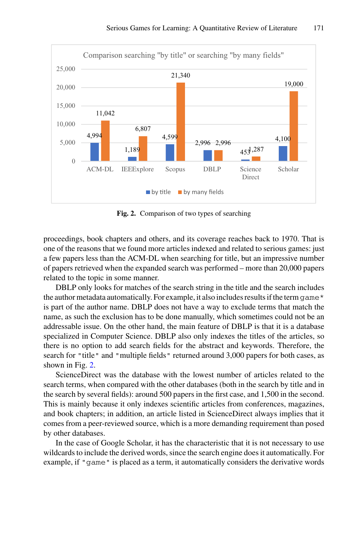

**Fig. 2.** Comparison of two types of searching

<span id="page-7-0"></span>proceedings, book chapters and others, and its coverage reaches back to 1970. That is one of the reasons that we found more articles indexed and related to serious games: just a few papers less than the ACM-DL when searching for title, but an impressive number of papers retrieved when the expanded search was performed – more than 20,000 papers related to the topic in some manner.

DBLP only looks for matches of the search string in the title and the search includes the author metadata automatically. For example, it also includes results if the term  $q$  ame \* is part of the author name. DBLP does not have a way to exclude terms that match the name, as such the exclusion has to be done manually, which sometimes could not be an addressable issue. On the other hand, the main feature of DBLP is that it is a database specialized in Computer Science. DBLP also only indexes the titles of the articles, so there is no option to add search fields for the abstract and keywords. Therefore, the search for "title" and "multiple fields" returned around 3,000 papers for both cases, as shown in Fig. [2.](#page-7-0)

ScienceDirect was the database with the lowest number of articles related to the search terms, when compared with the other databases (both in the search by title and in the search by several fields): around 500 papers in the first case, and 1,500 in the second. This is mainly because it only indexes scientific articles from conferences, magazines, and book chapters; in addition, an article listed in ScienceDirect always implies that it comes from a peer-reviewed source, which is a more demanding requirement than posed by other databases.

In the case of Google Scholar, it has the characteristic that it is not necessary to use wildcards to include the derived words, since the search engine does it automatically. For example, if "game" is placed as a term, it automatically considers the derivative words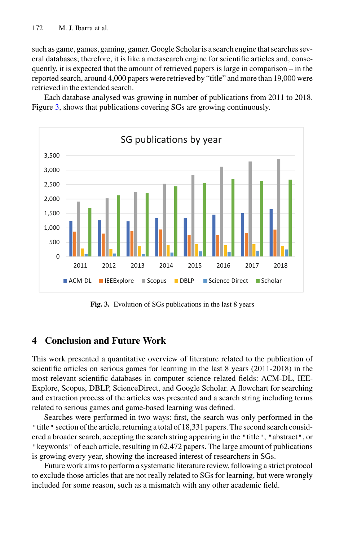such as game, games, gaming, gamer. Google Scholar is a search engine that searches several databases; therefore, it is like a metasearch engine for scientific articles and, consequently, it is expected that the amount of retrieved papers is large in comparison – in the reported search, around 4,000 papers were retrieved by "title" and more than 19,000 were retrieved in the extended search.

Each database analysed was growing in number of publications from 2011 to 2018. Figure [3,](#page-8-0) shows that publications covering SGs are growing continuously.



**Fig. 3.** Evolution of SGs publications in the last 8 years

## <span id="page-8-0"></span>**4 Conclusion and Future Work**

This work presented a quantitative overview of literature related to the publication of scientific articles on serious games for learning in the last 8 years (2011-2018) in the most relevant scientific databases in computer science related fields: ACM-DL, IEE-Explore, Scopus, DBLP, ScienceDirect, and Google Scholar. A flowchart for searching and extraction process of the articles was presented and a search string including terms related to serious games and game-based learning was defined.

Searches were performed in two ways: first, the search was only performed in the "title" section of the article, returning a total of 18,331 papers. The second search considered a broader search, accepting the search string appearing in the "title", "abstract", or "keywords" of each article, resulting in 62,472 papers. The large amount of publications is growing every year, showing the increased interest of researchers in SGs.

Future work aims to perform a systematic literature review, following a strict protocol to exclude those articles that are not really related to SGs for learning, but were wrongly included for some reason, such as a mismatch with any other academic field.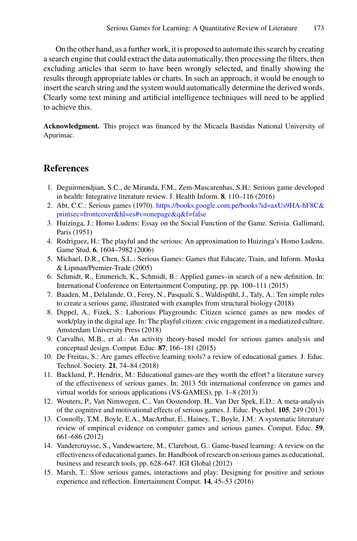On the other hand, as a further work, it is proposed to automate this search by creating a search engine that could extract the data automatically, then processing the filters, then excluding articles that seem to have been wrongly selected, and finally showing the results through appropriate tables or charts. In such an approach, it would be enough to insert the search string and the system would automatically determine the derived words. Clearly some text mining and artificial intelligence techniques will need to be applied to achieve this.

**Acknowledgment.** This project was financed by the Micaela Bastidas National University of Apurimac.

## **References**

- <span id="page-9-0"></span>1. Deguirmendjian, S.C., de Miranda, F.M., Zem-Mascarenhas, S.H.: Serious game developed in health: Integrative literature review. J. Health Inform. **8**, 110–116 (2016)
- <span id="page-9-1"></span>2. Abt, C.C.: Serious games (1970). [https://books.google.com.pe/books?id=axUs9HA-hF8C&](https://books.google.com.pe/books%3fid%3daxUs9HA-hF8C%26printsec%3dfrontcover%26hl%3des#v%3donepage%26q%26f%3dfalse) printsec=frontcover&hl=es#v=onepage&q&f=false
- <span id="page-9-2"></span>3. Huizinga, J.: Homo Ludens: Essay on the Social Function of the Game. Serisia. Gallimard, Paris (1951)
- <span id="page-9-3"></span>4. Rodriguez, H.: The playful and the serious: An approximation to Huizinga's Homo Ludens. Game Stud. **6**, 1604–7982 (2006)
- <span id="page-9-4"></span>5. Michael, D.R., Chen, S.L.: Serious Games: Games that Educate, Train, and Inform. Muska & Lipman/Premier-Trade (2005)
- <span id="page-9-5"></span>6. Schmidt, R., Emmerich, K., Schmidt, B.: Applied games–in search of a new definition. In: International Conference on Entertainment Computing, pp. pp. 100–111 (2015)
- <span id="page-9-6"></span>7. Baaden, M., Delalande, O., Ferey, N., Pasquali, S., Waldispühl, J., Taly, A.: Ten simple rules to create a serious game, illustrated with examples from structural biology (2018)
- <span id="page-9-7"></span>8. Dippel, A., Fizek, S.: Laborious Playgrounds: Citizen science games as new modes of work/play in the digital age. In: The playful citizen: civic engagement in a mediatized culture. Amsterdam University Press (2018)
- <span id="page-9-8"></span>9. Carvalho, M.B., et al.: An activity theory-based model for serious games analysis and conceptual design. Comput. Educ. **87**, 166–181 (2015)
- <span id="page-9-9"></span>10. De Freitas, S.: Are games effective learning tools? a review of educational games. J. Educ. Technol. Society. **21**, 74–84 (2018)
- <span id="page-9-10"></span>11. Backlund, P., Hendrix, M.: Educational games-are they worth the effort? a literature survey of the effectiveness of serious games. In: 2013 5th international conference on games and virtual worlds for serious applications (VS-GAMES), pp. 1–8 (2013)
- <span id="page-9-11"></span>12. Wouters, P., Van Nimwegen, C., Van Oostendorp, H., Van Der Spek, E.D.: A meta-analysis of the cognitive and motivational effects of serious games. J. Educ. Psychol. **105**, 249 (2013)
- <span id="page-9-12"></span>13. Connolly, T.M., Boyle, E.A., MacArthur, E., Hainey, T., Boyle, J.M.: A systematic literature review of empirical evidence on computer games and serious games. Comput. Educ. **59**, 661–686 (2012)
- <span id="page-9-13"></span>14. Vandercruysse, S., Vandewaetere, M., Clarebout, G.: Game-based learning: A review on the effectiveness of educational games. In: Handbook of research on serious games as educational, business and research tools, pp. 628–647. IGI Global (2012)
- <span id="page-9-14"></span>15. Marsh, T.: Slow serious games, interactions and play: Designing for positive and serious experience and reflection. Entertainment Comput. **14**, 45–53 (2016)